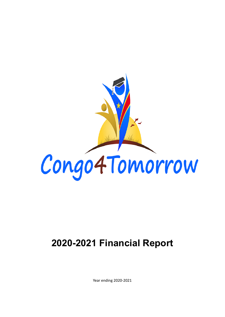

# **2020-2021 Financial Report**

Year ending 2020-2021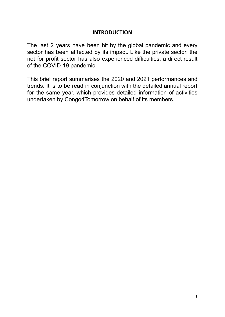## **INTRODUCTION**

The last 2 years have been hit by the global pandemic and every sector has been afftected by its impact. Like the private sector, the not for profit sector has also experienced difficulties, a direct result of the COVID-19 pandemic.

This brief report summarises the 2020 and 2021 performances and trends. It is to be read in conjunction with the detailed annual report for the same year, which provides detailed information of activities undertaken by Congo4Tomorrow on behalf of its members.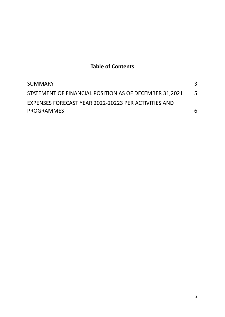# **Table of Contents**

| <b>SUMMARY</b>                                         |   |
|--------------------------------------------------------|---|
| STATEMENT OF FINANCIAL POSITION AS OF DECEMBER 31,2021 | 5 |
| EXPENSES FORECAST YEAR 2022-20223 PER ACTIVITIES AND   |   |
| <b>PROGRAMMES</b>                                      | 6 |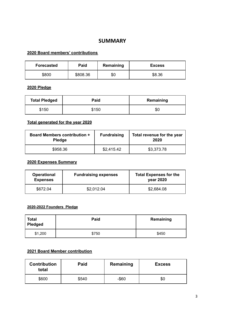## **SUMMARY**

## <span id="page-3-0"></span>**2020 Board members' contributions**

| <b>Forecasted</b> | Paid     | Remaining | <b>Excess</b> |
|-------------------|----------|-----------|---------------|
| \$800             | \$808.36 | \$0       | \$8.36        |

#### **2020 Pledge**

| <b>Total Pledged</b> | Paid  | Remaining |
|----------------------|-------|-----------|
| \$150                | \$150 | \$0       |

## **Total generated for the year 2020**

| <b>Board Members contribution +</b><br><b>Pledge</b> | <b>Fundraising</b> | Total revenue for the year<br>2020 |
|------------------------------------------------------|--------------------|------------------------------------|
| \$958.36                                             | \$2,415.42         | \$3,373.78                         |

## **2020 Expenses Summary**

| <b>Operational</b><br><b>Expenses</b> | <b>Fundraising expenses</b> | <b>Total Expenses for the</b><br>year 2020 |
|---------------------------------------|-----------------------------|--------------------------------------------|
| \$672.04                              | \$2,012.04                  | \$2,684.08                                 |

### **2020-2022 Founders Pledge**

| <b>Total</b><br><b>Pledged</b> | Paid  | Remaining |
|--------------------------------|-------|-----------|
| \$1,200                        | \$750 | \$450     |

## **2021 Board Member contribution**

| <b>Contribution</b><br>total | <b>Paid</b> | Remaining | <b>Excess</b> |
|------------------------------|-------------|-----------|---------------|
| \$600                        | \$540       | $-$ \$60  | \$0           |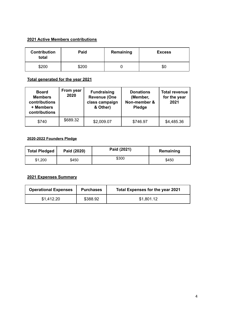## **2021 Active Members contributions**

| <b>Contribution</b><br>total | Paid  | Remaining | <b>Excess</b> |
|------------------------------|-------|-----------|---------------|
| \$200                        | \$200 |           | \$0           |

## **Total generated for the year 2021**

| <b>Board</b><br><b>Members</b><br>contributions<br>+ Members<br>contributions | From year<br>2020 | <b>Fundraising</b><br><b>Revenue (One</b><br>class campaign<br>& Other) | <b>Donations</b><br>(Member,<br>Non-member &<br>Pledge | <b>Total revenue</b><br>for the year<br>2021 |
|-------------------------------------------------------------------------------|-------------------|-------------------------------------------------------------------------|--------------------------------------------------------|----------------------------------------------|
| \$740                                                                         | \$689.32          | \$2,009.07                                                              | \$746.97                                               | \$4,485.36                                   |

#### **2020-2022 Founders Pledge**

| <b>Total Pledged</b> | Paid (2020) | Paid (2021) | Remaining |
|----------------------|-------------|-------------|-----------|
| \$1,200              | \$450       | \$300       | \$450     |

## **2021 Expenses Summary**

| <b>Operational Expenses</b> | <b>Purchases</b> | <b>Total Expenses for the year 2021</b> |
|-----------------------------|------------------|-----------------------------------------|
| \$1,412.20                  | \$388.92         | \$1.801.12                              |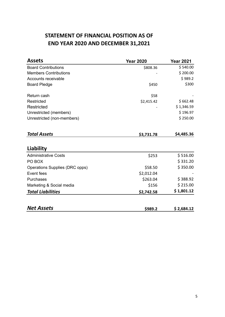# **STATEMENT OF FINANCIAL POSITION AS OF END YEAR 2020 AND DECEMBER 31,2021**

<span id="page-5-0"></span>

| <b>Assets</b>                  | <b>Year 2020</b> | <b>Year 2021</b> |
|--------------------------------|------------------|------------------|
| <b>Board Contributions</b>     | \$808.36         | \$540.00         |
| <b>Members Contributions</b>   |                  | \$200.00         |
| Accounts receivable            |                  | \$989.2          |
| <b>Board Pledge</b>            | \$450            | \$300            |
| Return cash                    | \$58             |                  |
| Restricted                     | \$2,415.42       | \$662.48         |
| <b>Restricted</b>              |                  | \$1,346.59       |
| Unrestricted (members)         |                  | \$196.97         |
| Unrestricted (non-members)     |                  | \$250.00         |
| <b>Total Assets</b>            | \$3,731.78       | \$4,485.36       |
| Liability                      |                  |                  |
| <b>Administrative Costs</b>    | \$253            | \$516.00         |
| PO BOX                         |                  | \$331.20         |
| Operations Supplies (DRC opps) | \$58.50          | \$350.00         |
| Event fees                     | \$2,012.04       |                  |
| Purchases                      | \$263.04         | \$388.92         |
| Marketing & Social media       | \$156            | \$215.00         |
| <b>Total Liabilities</b>       | \$2,742.58       | \$1,801.12       |
| <b>Net Assets</b>              | \$989.2          | \$2,684.12       |